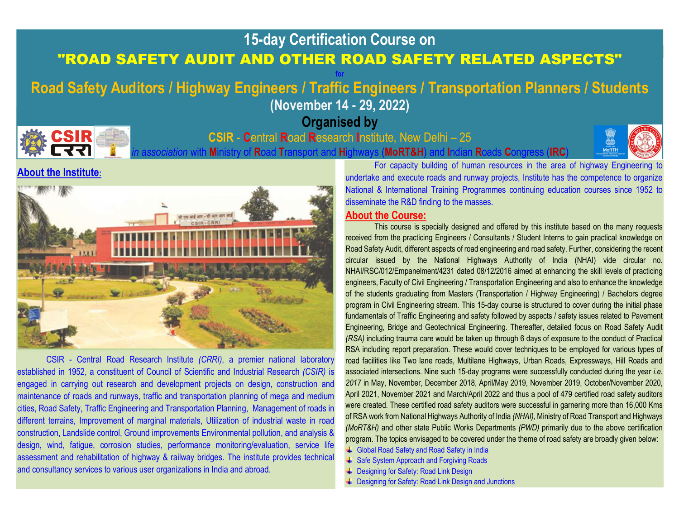## 15-day Certification Course on "ROAD SAFETY AUDIT AND OTHER ROAD SAFETY RELATED ASPECTS" for the contract of the state of the state of the state of the state of the state of the state of the state of

# Road Safety Auditors / Highway Engineers / Traffic Engineers / Transportation Planners / Students (November 14 - 29, 2022)

Organised by



### CSIR - Central Road Research Institute, New Delhi – 25

In Ministry of Road Transport and Highways (MoRT&H) and Indian Roads Congress (IRC



#### About the Institute:



CSIR - Central Road Research Institute (CRRI), a premier national laboratory established in 1952, a constituent of Council of Scientific and Industrial Research (CSIR) is engaged in carrying out research and development projects on design, construction and maintenance of roads and runways, traffic and transportation planning of mega and medium cities, Road Safety, Traffic Engineering and Transportation Planning, Management of roads in different terrains, Improvement of marginal materials, Utilization of industrial waste in road construction, Landslide control, Ground improvements Environmental pollution, and analysis & design, wind, fatigue, corrosion studies, performance monitoring/evaluation, service life assessment and rehabilitation of highway & railway bridges. The institute provides technical and consultancy services to various user organizations in India and abroad.

For capacity building of human resources in the area of highway Engineering to undertake and execute roads and runway projects, Institute has the competence to organize National & International Training Programmes continuing education courses since 1952 to disseminate the R&D finding to the masses.

#### About the Course:

This course is specially designed and offered by this institute based on the many requests received from the practicing Engineers / Consultants / Student Interns to gain practical knowledge on Road Safety Audit, different aspects of road engineering and road safety. Further, considering the recent circular issued by the National Highways Authority of India (NHAI) vide circular no. NHAI/RSC/012/Empanelment/4231 dated 08/12/2016 aimed at enhancing the skill levels of practicing engineers, Faculty of Civil Engineering / Transportation Engineering and also to enhance the knowledge of the students graduating from Masters (Transportation / Highway Engineering) / Bachelors degree program in Civil Engineering stream. This 15-day course is structured to cover during the initial phase fundamentals of Traffic Engineering and safety followed by aspects / safety issues related to Pavement Engineering, Bridge and Geotechnical Engineering. Thereafter, detailed focus on Road Safety Audit (RSA) including trauma care would be taken up through 6 days of exposure to the conduct of Practical RSA including report preparation. These would cover techniques to be employed for various types of road facilities like Two lane roads, Multilane Highways, Urban Roads, Expressways, Hill Roads and associated intersections. Nine such 15-day programs were successfully conducted during the year i.e. 2017 in May, November, December 2018, April/May 2019, November 2019, October/November 2020, April 2021, November 2021 and March/April 2022 and thus a pool of 479 certified road safety auditors were created. These certified road safety auditors were successful in garnering more than 16,000 Kms of RSA work from National Highways Authority of India (NHAI), Ministry of Road Transport and Highways (MoRT&H) and other state Public Works Departments (PWD) primarily due to the above certification program. The topics envisaged to be covered under the theme of road safety are broadly given below:

- Global Road Safety and Road Safety in India
- **↓ Safe System Approach and Forgiving Roads**
- **↓** Designing for Safety: Road Link Design
- **↓** Designing for Safety: Road Link Design and Junctions